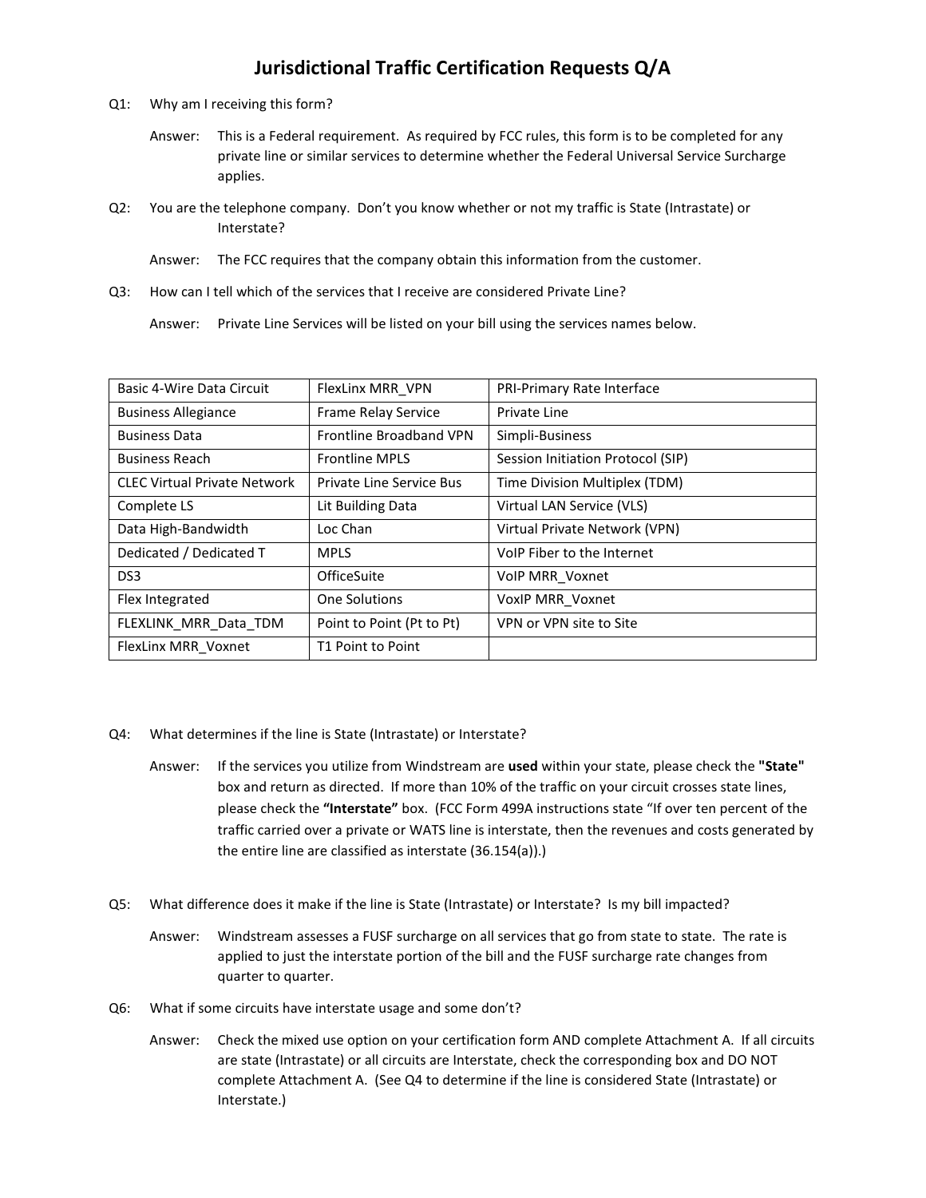## Jurisdictional Traffic Certification Requests Q/A

- Q1: Why am I receiving this form?
	- Answer: This is a Federal requirement. As required by FCC rules, this form is to be completed for any private line or similar services to determine whether the Federal Universal Service Surcharge applies.
- Q2: You are the telephone company. Don't you know whether or not my traffic is State (Intrastate) or Interstate?
	- Answer: The FCC requires that the company obtain this information from the customer.
- Q3: How can I tell which of the services that I receive are considered Private Line?

Answer: Private Line Services will be listed on your bill using the services names below.

| Basic 4-Wire Data Circuit           | FlexLinx MRR VPN               | PRI-Primary Rate Interface        |
|-------------------------------------|--------------------------------|-----------------------------------|
| <b>Business Allegiance</b>          | Frame Relay Service            | Private Line                      |
| <b>Business Data</b>                | <b>Frontline Broadband VPN</b> | Simpli-Business                   |
| <b>Business Reach</b>               | <b>Frontline MPLS</b>          | Session Initiation Protocol (SIP) |
| <b>CLEC Virtual Private Network</b> | Private Line Service Bus       | Time Division Multiplex (TDM)     |
| Complete LS                         | Lit Building Data              | Virtual LAN Service (VLS)         |
| Data High-Bandwidth                 | Loc Chan                       | Virtual Private Network (VPN)     |
| Dedicated / Dedicated T             | <b>MPLS</b>                    | VoIP Fiber to the Internet        |
| DS <sub>3</sub>                     | OfficeSuite                    | <b>VolP MRR Voxnet</b>            |
| Flex Integrated                     | One Solutions                  | VoxIP MRR_Voxnet                  |
| FLEXLINK_MRR_Data_TDM               | Point to Point (Pt to Pt)      | VPN or VPN site to Site           |
| FlexLinx MRR_Voxnet                 | T1 Point to Point              |                                   |

- Q4: What determines if the line is State (Intrastate) or Interstate?
	- Answer: If the services you utilize from Windstream are used within your state, please check the "State" box and return as directed. If more than 10% of the traffic on your circuit crosses state lines, please check the "Interstate" box. (FCC Form 499A instructions state "If over ten percent of the traffic carried over a private or WATS line is interstate, then the revenues and costs generated by the entire line are classified as interstate (36.154(a)).)
- Q5: What difference does it make if the line is State (Intrastate) or Interstate? Is my bill impacted?
	- Answer: Windstream assesses a FUSF surcharge on all services that go from state to state. The rate is applied to just the interstate portion of the bill and the FUSF surcharge rate changes from quarter to quarter.
- Q6: What if some circuits have interstate usage and some don't?
	- Answer: Check the mixed use option on your certification form AND complete Attachment A. If all circuits are state (Intrastate) or all circuits are Interstate, check the corresponding box and DO NOT complete Attachment A. (See Q4 to determine if the line is considered State (Intrastate) or Interstate.)